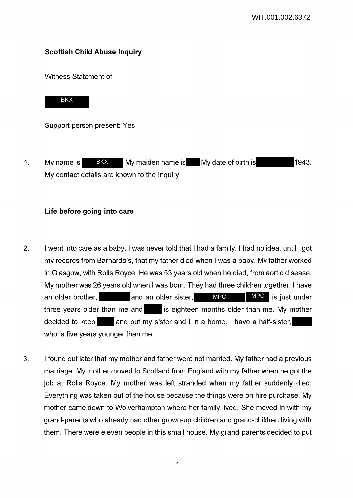# **Scottish Child Abuse Inquiry**

Witness Statement of



Support person present: Yes

1. My name is BKX My maiden name is My date of birth is 1943. My contact details are known to the Inquiry. BKX

## **Life before going into care**

- 2. I went into care as a baby. I was never told that I had a family. I had no idea, until I got my records from Barnardo's, that my father died when I was a baby. My father worked in Glasgow, with Rolls Royce. He was 53 years old when he died, from aortic disease. My mother was 26 years old when I was born. They had three children together. I have an older brother, and an older sister, three years older than me and is eighteen months older than me. My mother decided to keep and put my sister and I in a home. I have a half-sister, who is five years younger than me. MPC is just under MPC
- 3. I found out later that my mother and father were not married. My father had a previous marriage. My mother moved to Scotland from England with my father when he got the job at Rolls Royce. My mother was left stranded when my father suddenly died. Everything was taken out of the house because the things were on hire purchase. My mother came down to Wolverhampton where her family lived. She moved in with my grand-parents who already had other grown-up children and grand-children living with them. There were eleven people in this small house. My grand-parents decided to put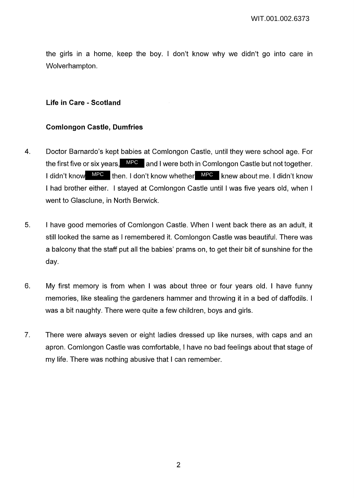the girls in a home, keep the boy. I don't know why we didn't go into care in Wolverhampton.

#### **Life in Care - Scotland**

### **Comlongon Castle, Dumfries**

- 4. Doctor Barnardo's kept babies at Comlongon Castle, until they were school age. For the first five or six years, MPC and I were both in Comlongon Castle but not together. I didn't know MPC then. I don't know whether MPC knew about me. I didn't know I had brother either. I stayed at Comlongon Castle until I was five years old, when I went to Glasclune, in North Berwick.
- 5. I have good memories of Comlongon Castle. When I went back there as an adult, it still looked the same as I remembered it. Comlongon Castle was beautiful. There was a balcony that the staff put all the babies' prams on, to get their bit of sunshine for the day.
- 6. My first memory is from when I was about three or four years old. I have funny memories, like stealing the gardeners hammer and throwing it in a bed of daffodils. I was a bit naughty. There were quite a few children, boys and girls.
- 7. There were always seven or eight ladies dressed up like nurses, with caps and an apron. Comlongon Castle was comfortable, I have no bad feelings about that stage of my life. There was nothing abusive that I can remember.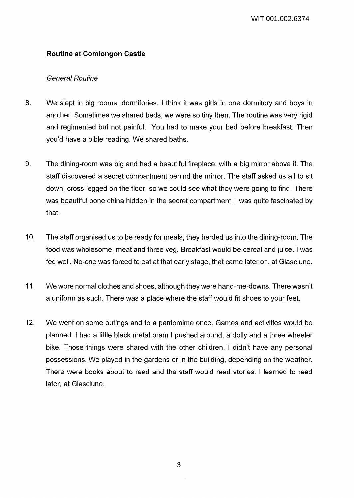# **Routine at Comlongon Castle**

## General Routine

- 8. We slept in big rooms, dormitories. I think it was girls in one dormitory and boys in another. Sometimes we shared beds, we were so tiny then. The routine was very rigid and regimented but not painful. You had to make your bed before breakfast. Then you'd have a bible reading. We shared baths.
- 9. The dining-room was big and had a beautiful fireplace, with a big mirror above it. The staff discovered a secret compartment behind the mirror. The staff asked us all to sit down, cross-legged on the floor, so we could see what they were going to find. There was beautiful bone china hidden in the secret compartment. I was quite fascinated by that.
- 10. The staff organised us to be ready for meals, they herded us into the dining-room. The food was wholesome, meat and three veg. Breakfast would be cereal and juice. I was fed well. No-one was forced to eat at that early stage, that came later on, at Glasclune.
- 11. We wore normal clothes and shoes, although they were hand-me-downs. There wasn't a uniform as such. There was a place where the staff would fit shoes to your feet.
- 12. We went on some outings and to a pantomime once. Games and activities would be planned. I had a little black metal pram I pushed around, a dolly and a three wheeler bike. Those things were shared with the other children. I didn't have any personal possessions. We played in the gardens or in the building, depending on the weather. There were books about to read and the staff would read stories. I learned to read later, at Glasclune.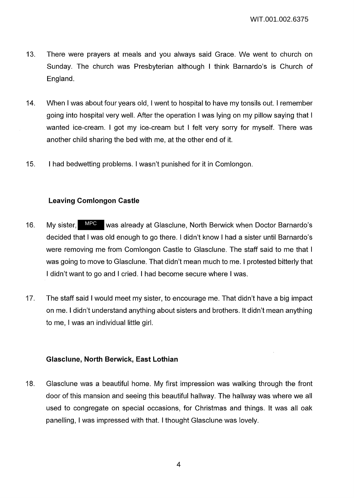- 13. There were prayers at meals and you always said Grace. We went to church on Sunday. The church was Presbyterian although I think Barnardo's is Church of England.
- 14. When I was about four years old, I went to hospital to have my tonsils out. I remember going into hospital very well. After the operation I was lying on my pillow saying that I wanted ice-cream. I got my ice-cream but I felt very sorry for myself. There was another child sharing the bed with me, at the other end of it.
- 15. I had bedwetting problems. I wasn't punished for it in Comlongon.

## **Leaving Comlongon Castle**

- 16. My sister, MPC was already at Glasclune, North Berwick when Doctor Barnardo's decided that I was old enough to go there. I didn't know I had a sister until Barnardo's were removing me from Comlongon Castle to Glasclune. The staff said to me that I was going to move to Glasclune. That didn't mean much to me. I protested bitterly that I didn't want to go and I cried. I had become secure where I was.
- 17. The staff said I would meet my sister, to encourage me. That didn't have a big impact on me. I didn't understand anything about sisters and brothers. It didn't mean anything to me, I was an individual little girl.

## **Glasclune, North Berwick, East Lothian**

18. Glasclune was a beautiful home. My first impression was walking through the front door of this mansion and seeing this beautiful hallway. The hallway was where we all used to congregate on special occasions, for Christmas and things. It was all oak panelling, I was impressed with that. I thought Glasclune was lovely.

4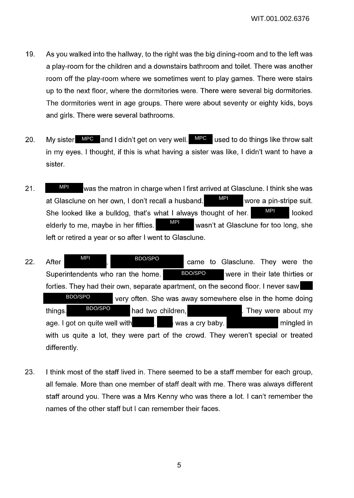- 19. As you walked into the hallway, to the right was the big dining-room and to the left was a play-room for the children and a downstairs bathroom and toilet. There was another room off the play-room where we sometimes went to play games. There were stairs up to the next floor, where the dormitories were. There were several big dormitories. The dormitories went in age groups. There were about seventy or eighty kids, boys and girls. There were several bathrooms.
- 20. My sister MPC and I didn't get on very well. MPC used to do things like throw salt in my eyes. I thought, if this is what having a sister was like, I didn't want to have a sister.
- 21. We was the matron in charge when I first arrived at Glasclune. I think she was at Glasclune on her own, I don't recall a husband. WRI wore a pin-stripe suit. She looked like a bulldog, that's what I always thought of her.  $\blacksquare$  looked elderly to me, maybe in her fifties.  $\frac{WH}{d}$  wasn't at Glasclune for too long, she left or retired a year or so after I went to Glasclune. MPI MPI MPI MPI
- 22. After  $\frac{MP}{P}$ , BDOSPO came to Glasclune. They were the Superintendents who ran the home. BDO/SPO were in their late thirties or forties. They had their own, separate apartment, on the second floor. I never saw very often. She was away somewhere else in the home doing things. **BDO/SPO** had two children, **had two children**, they were about my age. I got on quite well with **the set of the set of the set of the set of the set of the set of the set of the s** with us quite a lot, they were part of the crowd. They weren't special or treated differently. BDO/SPO BDO/SPO BDO/SPO MPI BDO/SPO
- 23. I think most of the staff lived in. There seemed to be a staff member for each group, all female. More than one member of staff dealt with me. There was always different staff around you. There was a Mrs Kenny who was there a lot. I can't remember the names of the other staff but I can remember their faces.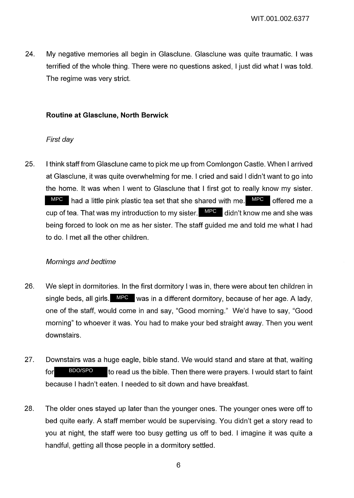24. My negative memories all begin in Glasclune. Glasclune was quite traumatic. I was terrified of the whole thing. There were no questions asked, I just did what I was told. The regime was very strict.

## **Routine at Glasclune, North Berwick**

## First day

25. I think staff from Glasclune came to pick me up from Comlongon Castle. When I arrived at Glasclune, it was quite overwhelming for me. I cried and said I didn't want to go into the home. It was when I went to Glasclune that I first got to really know my sister.  $MPC$  had a little pink plastic tea set that she shared with me.  $MPC$  offered me a cup of tea. That was my introduction to my sister. MPC didn't know me and she was being forced to look on me as her sister. The staff guided me and told me what I had to do. I met all the other children.

# Mornings and bedtime

- 26. We slept in dormitories. In the first dormitory I was in, there were about ten children in single beds, all girls. MPC was in a different dormitory, because of her age. A lady, one of the staff, would come in and say, "Good morning." We'd have to say, "Good morning" to whoever it was. You had to make your bed straight away. Then you went downstairs.
- 27. Downstairs was a huge eagle, bible stand. We would stand and stare at that, waiting for BDO/SPO to read us the bible. Then there were prayers. I would start to faint because I hadn't eaten. I needed to sit down and have breakfast. BDO/SPO
- 28. The older ones stayed up later than the younger ones. The younger ones were off to bed quite early. A staff member would be supervising. You didn't get a story read to you at night, the staff were too busy getting us off to bed. I imagine it was quite a handful, getting all those people in a dormitory settled.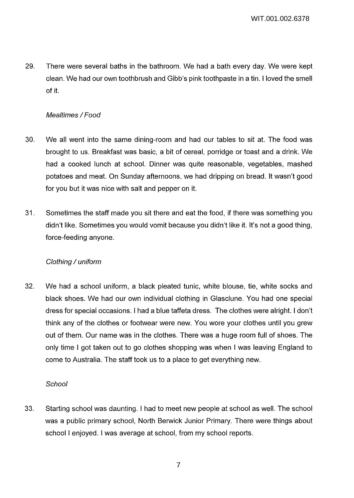29. There were several baths in the bathroom. We had a bath every day. We were kept clean. We had our own toothbrush and Gibb's pink toothpaste in a tin. I loved the smell of it.

# Mealtimes / Food

- 30. We all went into the same dining-room and had our tables to sit at. The food was brought to us. Breakfast was basic, a bit of cereal, porridge or toast and a drink. We had a cooked lunch at school. Dinner was quite reasonable, vegetables, mashed potatoes and meat. On Sunday afternoons, we had dripping on bread. It wasn't good for you but it was nice with salt and pepper on it.
- 31. Sometimes the staff made you sit there and eat the food, if there was something you didn't like. Sometimes you would vomit because you didn't like it. It's not a good thing, force-feeding anyone.

### Clothing / uniform

32. We had a school uniform, a black pleated tunic, white blouse, tie, white socks and black shoes. We had our own individual clothing in Glasclune. You had one special dress for special occasions. I had a blue taffeta dress. The clothes were alright. I don't think any of the clothes or footwear were new. You wore your clothes until you grew out of them. Our name was in the clothes. There was a huge room full of shoes. The only time I got taken out to go clothes shopping was when I was leaving England to come to Australia. The staff took us to a place to get everything new.

### **School**

33. Starting school was daunting. I had to meet new people at school as well. The school was a public primary school, North Berwick Junior Primary. There were things about school I enjoyed. I was average at school, from my school reports.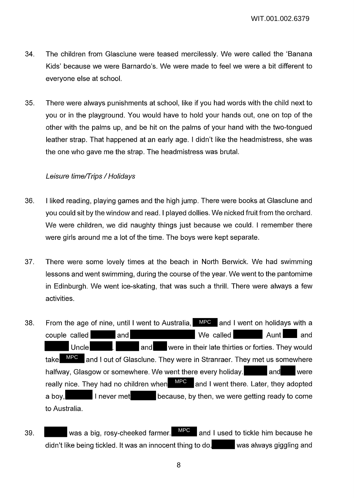- 34. The children from Glasclune were teased mercilessly. We were called the 'Banana Kids' because we were Barnardo's. We were made to feel we were a bit different to everyone else at school.
- 35. There were always punishments at school, like if you had words with the child next to you or in the playground. You would have to hold your hands out, one on top of the other with the palms up, and be hit on the palms of your hand with the two-tongued leather strap. That happened at an early age. I didn't like the headmistress, she was the one who gave me the strap. The headmistress was brutal.

## Leisure time/Trips / Holidays

- 36. I liked reading, playing games and the high jump. There were books at Glasclune and you could sit by the window and read. I played dollies. We nicked fruit from the orchard. We were children, we did naughty things just because we could. I remember there were girls around me a lot of the time. The boys were kept separate.
- 37. There were some lovely times at the beach in North Berwick. We had swimming lessons and went swimming, during the course of the year. We went to the pantomime in Edinburgh. We went ice-skating, that was such a thrill. There were always a few activities.
- 38. From the age of nine, until I went to Australia, MPC and I went on holidays with a couple called and We called Aunt and Uncle **and** were in their late thirties or forties. They would take MPC and I out of Glasclune. They were in Stranraer. They met us somewhere halfway, Glasgow or somewhere. We went there every holiday. **All and the vere** really nice. They had no children when  $\blacksquare$  and I went there. Later, they adopted a boy, **I** never met because, by then, we were getting ready to come to Australia.
- 39.  $\blacksquare$  was a big, rosy-cheeked farmer.  $\blacksquare$  and I used to tickle him because he didn't like being tickled. It was an innocent thing to do. Was always giggling and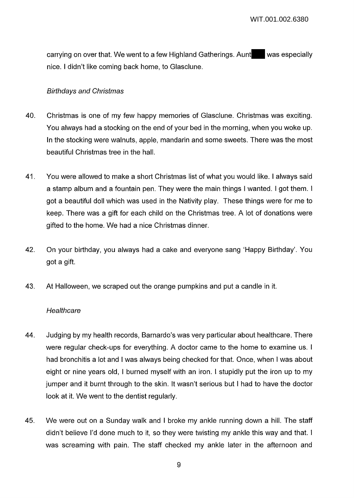carrying on over that. We went to a few Highland Gatherings. Aunt was especially nice. I didn't like coming back home, to Glasclune.

#### Birthdays and Christmas

- 40. Christmas is one of my few happy memories of Glasclune. Christmas was exciting. You always had a stocking on the end of your bed in the morning, when you woke up. In the stocking were walnuts, apple, mandarin and some sweets. There was the most beautiful Christmas tree in the hall.
- 41. You were allowed to make a short Christmas list of what you would like. I always said a stamp album and a fountain pen. They were the main things I wanted. I got them. I got a beautiful doll which was used in the Nativity play. These things were for me to keep. There was a gift for each child on the Christmas tree. A lot of donations were gifted to the home. We had a nice Christmas dinner.
- 42. On your birthday, you always had a cake and everyone sang 'Happy Birthday'. You got a gift.
- 43. At Halloween, we scraped out the orange pumpkins and put a candle in it.

#### **Healthcare**

- 44. Judging by my health records, Barnardo's was very particular about healthcare. There were regular check-ups for everything. A doctor came to the home to examine us. I had bronchitis a lot and I was always being checked for that. Once, when I was about eight or nine years old, I burned myself with an iron. I stupidly put the iron up to my jumper and it burnt through to the skin. It wasn't serious but I had to have the doctor look at it. We went to the dentist regularly.
- 45. We were out on a Sunday walk and I broke my ankle running down a hill. The staff didn't believe I'd done much to it, so they were twisting my ankle this way and that. I was screaming with pain. The staff checked my ankle later in the afternoon and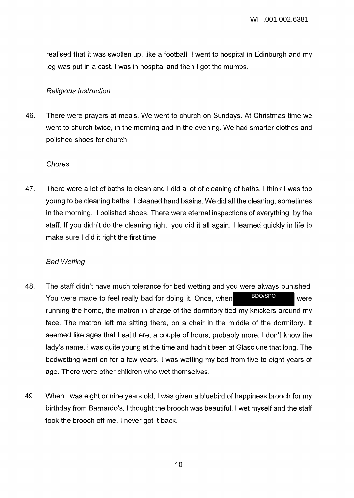realised that it was swollen up, like a football. I went to hospital in Edinburgh and my leg was put in a cast. I was in hospital and then I got the mumps.

#### Religious Instruction

46. There were prayers at meals. We went to church on Sundays. At Christmas time we went to church twice, in the morning and in the evening. We had smarter clothes and polished shoes for church.

#### Chores

47. There were a lot of baths to clean and I did a lot of cleaning of baths. I think I was too young to be cleaning baths. I cleaned hand basins. We did all the cleaning, sometimes in the morning. I polished shoes. There were eternal inspections of everything, by the staff. If you didn't do the cleaning right, you did it all again. I learned quickly in life to make sure I did it right the first time.

### Bed Wetting

- 48. The staff didn't have much tolerance for bed wetting and you were always punished. You were made to feel really bad for doing it. Once, when BDO/SPO were running the home, the matron in charge of the dormitory tied my knickers around my face. The matron left me sitting there, on a chair in the middle of the dormitory. It seemed like ages that I sat there, a couple of hours, probably more. I don't know the lady's name. I was quite young at the time and hadn't been at Glasclune that long. The bedwetting went on for a few years. I was wetting my bed from five to eight years of age. There were other children who wet themselves. BDO/SPO
- 49. When I was eight or nine years old, I was given a bluebird of happiness brooch for my birthday from Barnardo's. I thought the brooch was beautiful. I wet myself and the staff took the brooch off me. I never got it back.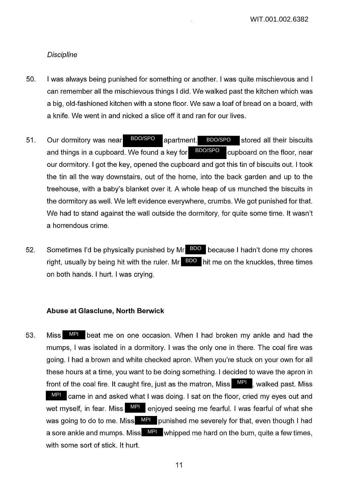#### **Discipline**

- 50. I was always being punished for something or another. I was quite mischievous and I can remember all the mischievous things I did. We walked past the kitchen which was a big, old-fashioned kitchen with a stone floor. We saw a loaf of bread on a board, with a knife. We went in and nicked a slice off it and ran for our lives.
- 51. Our dormitory was near BDO/SPO apartment. BDO/SPO stored all their biscuits and things in a cupboard. We found a key for  $\mathbb{B}^{DO/SPO}$  cupboard on the floor, near our dormitory. I got the key, opened the cupboard and got this tin of biscuits out. I took the tin all the way downstairs, out of the home, into the back garden and up to the treehouse, with a baby's blanket over it. A whole heap of us munched the biscuits in the dormitory as well. We left evidence everywhere, crumbs. We got punished for that. We had to stand against the wall outside the dormitory, for quite some time. It wasn't a horrendous crime. BDO/SPO BDO/SPO BDO/SPO
- 52. Sometimes I'd be physically punished by Mr BDO because I hadn't done my chores right, usually by being hit with the ruler. Mr  $\overline{BDO}$  hit me on the knuckles, three times on both hands. I hurt. I was crying.

#### **Abuse at Glasclune, North Berwick**

53. Miss MPI beat me on one occasion. When I had broken my ankle and had the mumps, I was isolated in a dormitory. I was the only one in there. The coal fire was going. I had a brown and white checked apron. When you're stuck on your own for all these hours at a time, you want to be doing something. I decided to wave the apron in front of the coal fire. It caught fire, just as the matron, Miss **WPL**, walked past. Miss MPI came in and asked what I was doing. I sat on the floor, cried my eyes out and wet myself, in fear. Miss **API** enjoyed seeing me fearful. I was fearful of what she was going to do to me. Miss **MPI** punished me severely for that, even though I had a sore ankle and mumps. Miss **WPL** whipped me hard on the bum, quite a few times, with some sort of stick. It hurt.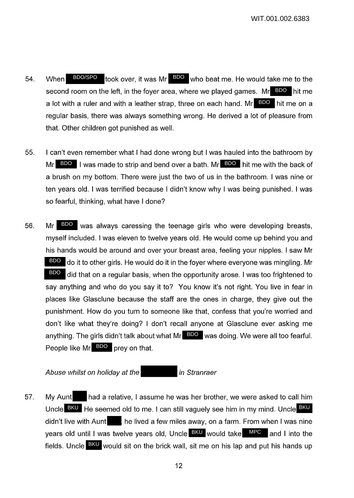- 54. When BDO/SPO took over, it was Mr BDO who beat me. He would take me to the second room on the left, in the foyer area, where we played games. Mr BDO hit me a lot with a ruler and with a leather strap, three on each hand. Mr**e BDO** hit me on a regular basis, there was always something wrong. He derived a lot of pleasure from that. Other children got punished as well.
- 55. I can't even remember what I had done wrong but I was hauled into the bathroom by Mr BDO I was made to strip and bend over a bath. Mr BDO hit me with the back of a brush on my bottom. There were just the two of us in the bathroom. I was nine or ten years old. I was terrified because I didn't know why I was being punished. I was so fearful, thinking, what have I done?
- 56. Mr BDO was always caressing the teenage girls who were developing breasts, myself included. I was eleven to twelve years old. He would come up behind you and his hands would be around and over your breast area, feeling your nipples. I saw Mr BDO do it to other girls. He would do it in the foyer where everyone was mingling. Mr did that on a regular basis, when the opportunity arose. I was too frightened to say anything and who do you say it to? You know it's not right. You live in fear in places like Glasclune because the staff are the ones in charge, they give out the punishment. How do you turn to someone like that, confess that you're worried and don't like what they're doing? I don't recall anyone at Glasclune ever asking me anything. The girls didn't talk about what Mr**e <sup>BDO</sup> was doing. We were all too fearful**. People like Mr BDO prey on that. BDO

Abuse whilst on holiday at the in Stranraer

57. My Aunt had a relative, I assume he was her brother, we were asked to call him Uncle BKU He seemed old to me. I can still vaguely see him in my mind. Uncle <sup>BKU</sup> didn't live with Aunt **he lived a few miles away, on a farm. From when I was nine** years old until I was twelve years old, Uncle BKU would take MPC and I into the fields. Uncle BKU would sit on the brick wall, sit me on his lap and put his hands up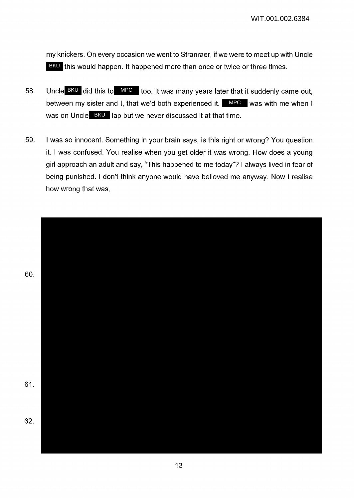my knickers. On every occasion we went to Stranraer, if we were to meet up with Uncle BKU this would happen. It happened more than once or twice or three times.

- 58. Uncle  $B KU$  did this to  $MPC$  too. It was many years later that it suddenly came out, between my sister and I, that we'd both experienced it. MPC was with me when I was on Uncle BKU lap but we never discussed it at that time.
- 59. I was so innocent. Something in your brain says, is this right or wrong? You question it. I was confused. You realise when you get older it was wrong. How does a young girl approach an adult and say, "This happened to me today"? I always lived in fear of being punished. I don't think anyone would have believed me anyway. Now I realise how wrong that was.

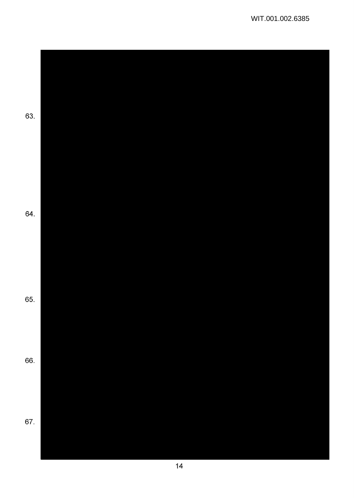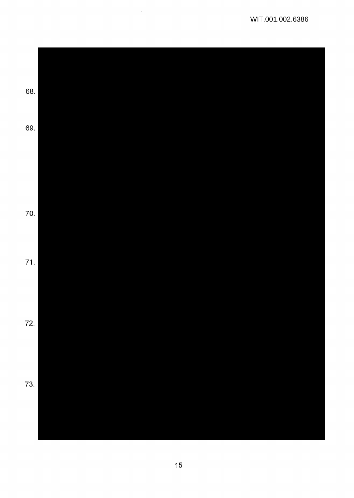

 $\sim$   $\sim$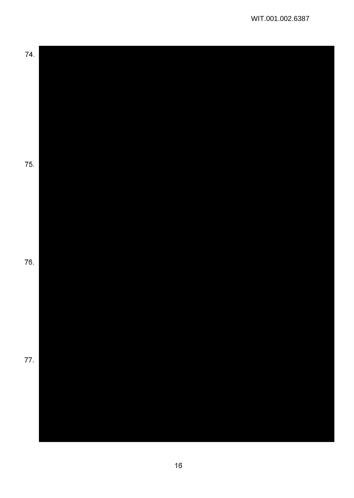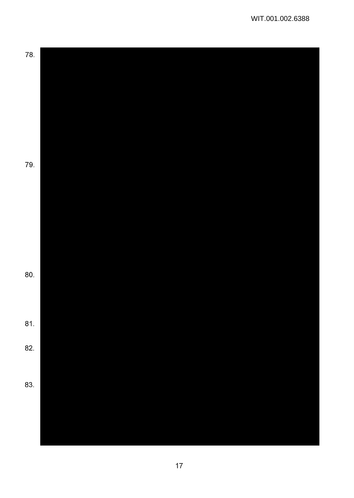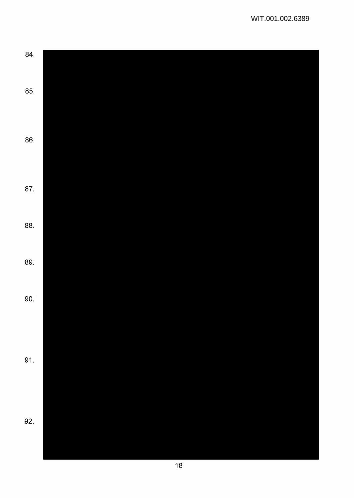| 84. |  |  |  |
|-----|--|--|--|
|     |  |  |  |
| 85. |  |  |  |
|     |  |  |  |
|     |  |  |  |
| 86. |  |  |  |
|     |  |  |  |
|     |  |  |  |
| 87. |  |  |  |
|     |  |  |  |
|     |  |  |  |
| 88. |  |  |  |
|     |  |  |  |
| 89. |  |  |  |
|     |  |  |  |
| 90. |  |  |  |
|     |  |  |  |
|     |  |  |  |
|     |  |  |  |
| 91. |  |  |  |
|     |  |  |  |
|     |  |  |  |
|     |  |  |  |
| 92. |  |  |  |
|     |  |  |  |
|     |  |  |  |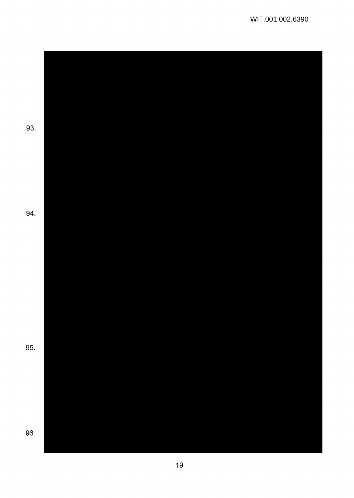93. 94. 95. 96.

 $\bar{\beta}$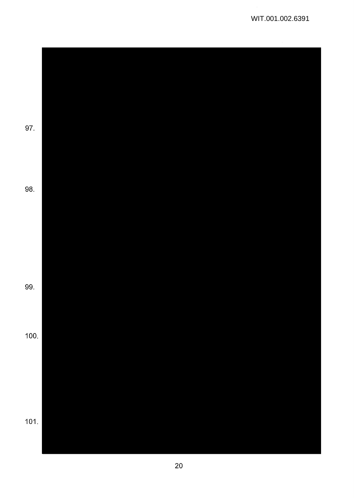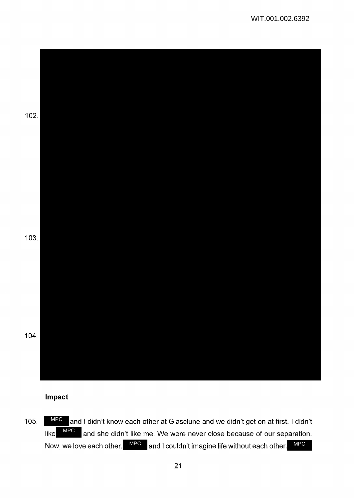

## **Impact**

105. MPC and I didn't know each other at Glasclune and we didn't get on at first. I didn't like  $\blacksquare^{\text{MPC}}$  and she didn't like me. We were never close because of our separation. Now, we love each other. MPC and I couldn't imagine life without each other. MPC MPC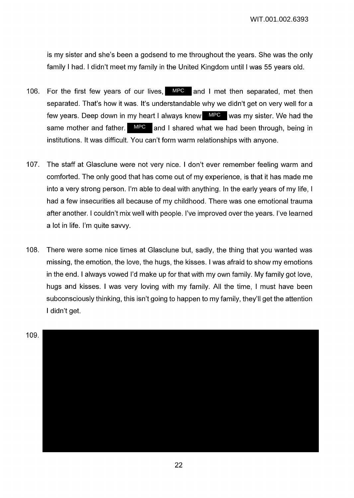WIT.001.002.6393

is my sister and she's been a godsend to me throughout the years. She was the only family I had. I didn't meet my family in the United Kingdom until I was 55 years old.

- 106. For the first few years of our lives, **MPC** and I met then separated, met then separated. That's how it was. It's understandable why we didn't get on very well for a few years. Deep down in my heart I always knew **MPC** was my sister. We had the same mother and father. MPC and I shared what we had been through, being in institutions. It was difficult. You can't form warm relationships with anyone.
- 107. The staff at Glasclune were not very nice. I don't ever remember feeling warm and comforted. The only good that has come out of my experience, is that it has made me into a very strong person. I'm able to deal with anything. In the early years of my life, I had a few insecurities all because of my childhood. There was one emotional trauma after another. I couldn't mix well with people. I've improved over the years. I've learned a lot in life. I'm quite savvy.
- 108. There were some nice times at Glasclune but, sadly, the thing that you wanted was missing, the emotion, the love, the hugs, the kisses. I was afraid to show my emotions in the end. I always vowed I'd make up for that with my own family. My family got love, hugs and kisses. I was very loving with my family. All the time, I must have been subconsciously thinking, this isn't going to happen to my family, they'll get the attention I didn't get.

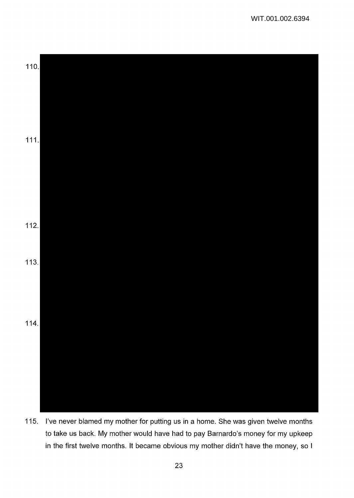

115. I've never blamed my mother for putting us in a home. She was given twelve months to take us back. My mother would have had to pay Barnardo's money for my upkeep in the first twelve months. It became obvious my mother didn't have the money, so I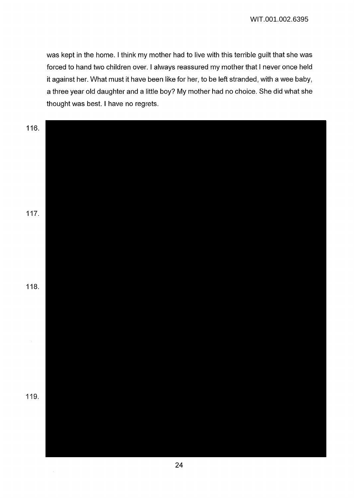was kept in the home. I think my mother had to live with this terrible guilt that she was forced to hand two children over. I always reassured my mother that I never once held it against her. What must it have been like for her, to be left stranded, with a wee baby, a three year old daughter and a little boy? My mother had no choice. She did what she thought was best. I have no regrets.

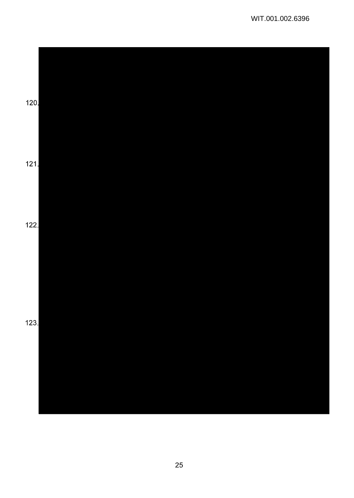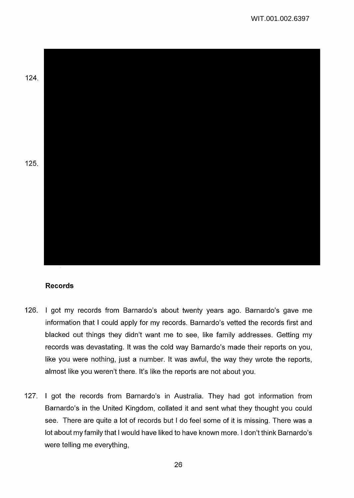124. 125.

# **Records**

- 126. I got my records from Barnardo's about twenty years ago. Barnardo's gave me information that I could apply for my records. Barnardo's vetted the records first and blacked out things they didn't want me to see, like family addresses. Getting my records was devastating. It was the cold way Barnardo's made their reports on you, like you were nothing, just a number. It was awful, the way they wrote the reports, almost like you weren't there. It's like the reports are not about you.
- 127. I got the records from Barnardo's in Australia. They had got information from Barnardo's in the United Kingdom, collated it and sent what they thought you could see. There are quite a lot of records but I do feel some of it is missing. There was a lot about my family that I would have liked to have known more. I don't think Barnardo's were telling me everything,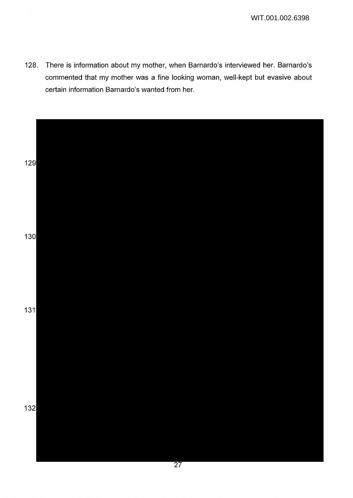128. There is information about my mother, when Barnardo's interviewed her. Barnardo's commented that my mother was a fine looking woman, well-kept but evasive about certain information Barnardo's wanted from her.

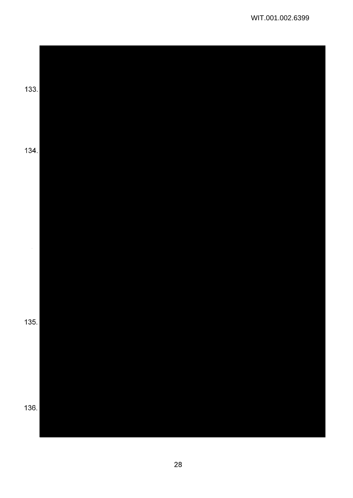